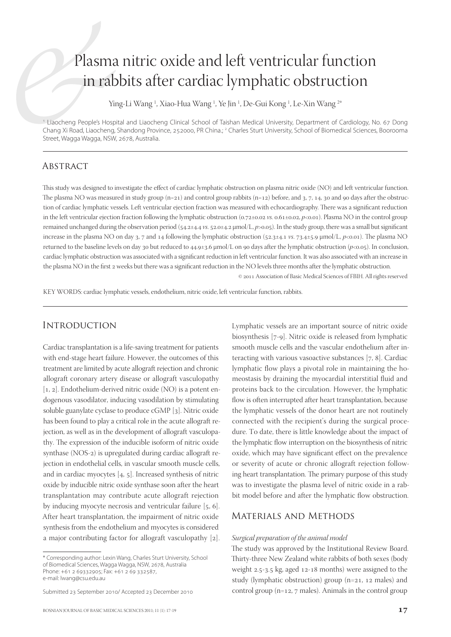# Plasma nitric oxide and left ventricular function in rabbits after cardiac lymphatic obstruction

Ying-Li Wang <sup>1</sup>, Xiao-Hua Wang <sup>1</sup>, Ye Jin <sup>1</sup>, De-Gui Kong <sup>1</sup>, Le-Xin Wang <sup>2\*</sup>

1 Liaocheng People's Hospital and Liaocheng Clinical School of Taishan Medical University, Department of Cardiology, No. 67 Dong Chang Xi Road, Liaocheng, Shandong Province, 252000, PR China.; <sup>2</sup> Charles Sturt University, School of Biomedical Sciences, Boorooma Street, Wagga Wagga, NSW, 2678, Australia.

# **ABSTRACT**

This study was designed to investigate the effect of cardiac lymphatic obstruction on plasma nitric oxide (NO) and left ventricular function. The plasma NO was measured in study group  $(n=21)$  and control group rabbits  $(n=12)$  before, and 3, 7, 14, 30 and 90 days after the obstruction of cardiac lymphatic vessels. Left ventricular ejection fraction was measured with echocardiography. There was a significant reduction in the left ventricular ejection fraction following the lymphatic obstruction (0.72±0.02 vs. 0.61±0.02, p<0.01). Plasma NO in the control group remained unchanged during the observation period (54.2±4.4 *vs*. 52.0±4.2 μmol/L, *p*>0.05). In the study group, there was a small but significant increase in the plasma NO on day  $3$ ,  $7$  and  $14$  following the lymphatic obstruction ( $52.3\pm4.1$  *vs.*  $73.4\pm5.9$  µmol/L,  $p<0.01$ ). The plasma NO returned to the baseline levels on day 30 but reduced to  $44.9\pm3.6$  µmol/L on 90 days after the lymphatic obstruction ( $p<0.05$ ). In conclusion, cardiac lymphatic obstruction was associated with a significant reduction in left ventricular function. It was also associated with an increase in the plasma NO in the first 2 weeks but there was a significant reduction in the NO levels three months after the lymphatic obstruction.

 $@$  2011 Association of Basic Medical Sciences of FBIH. All rights reserved

KEY WORDS: cardiac lymphatic vessels, endothelium, nitric oxide, left ventricular function, rabbits.

## **INTRODUCTION**

Cardiac transplantation is a life-saving treatment for patients with end-stage heart failure. However, the outcomes of this treatment are limited by acute allograft rejection and chronic allograft coronary artery disease or allograft vasculopathy  $[1, 2]$ . Endothelium-derived nitric oxide (NO) is a potent endogenous vasodilator, inducing vasodilation by stimulating soluble guanylate cyclase to produce cGMP [3]. Nitric oxide has been found to play a critical role in the acute allograft rejection, as well as in the development of allograft vasculopathy. The expression of the inducible isoform of nitric oxide synthase (NOS-2) is upregulated during cardiac allograft rejection in endothelial cells, in vascular smooth muscle cells, and in cardiac myocytes  $[4, 5]$ . Increased synthesis of nitric oxide by inducible nitric oxide synthase soon after the heart transplantation may contribute acute allograft rejection by inducing myocyte necrosis and ventricular failure  $[5, 6]$ . After heart transplantation, the impairment of nitric oxide synthesis from the endothelium and myocytes is considered a major contributing factor for allograft vasculopathy  $[2]$ . Lymphatic vessels are an important source of nitric oxide biosynthesis [7-9]. Nitric oxide is released from lymphatic smooth muscle cells and the vascular endothelium after interacting with various vasoactive substances  $[7, 8]$ . Cardiac lymphatic flow plays a pivotal role in maintaining the homeostasis by draining the myocardial interstitial fluid and proteins back to the circulation. However, the lymphatic flow is often interrupted after heart transplantation, because the lymphatic vessels of the donor heart are not routinely connected with the recipient's during the surgical procedure. To date, there is little knowledge about the impact of the lymphatic flow interruption on the biosynthesis of nitric oxide, which may have significant effect on the prevalence or severity of acute or chronic allograft rejection following heart transplantation. The primary purpose of this study was to investigate the plasma level of nitric oxide in a rabbit model before and after the lymphatic flow obstruction.

# Materials and Methods

#### *Surgical preparation of the animal model*

The study was approved by the Institutional Review Board. Thirty-three New Zealand white rabbits of both sexes (body weight  $2.5-3.5$  kg, aged  $12-18$  months) were assigned to the study (lymphatic obstruction) group ( $n=21$ , 12 males) and control group ( $n=12$ ,  $7$  males). Animals in the control group

<sup>\*</sup> Corresponding author: Lexin Wang, Charles Sturt University, School of Biomedical Sciences, Wagga Wagga, NSW, 2678, Australia Phone: +61 2 69332905; Fax: +61 2 69 332587, e-mail: lwang@csu.edu.au

Submitted 23 September 2010/ Accepted 23 December 2010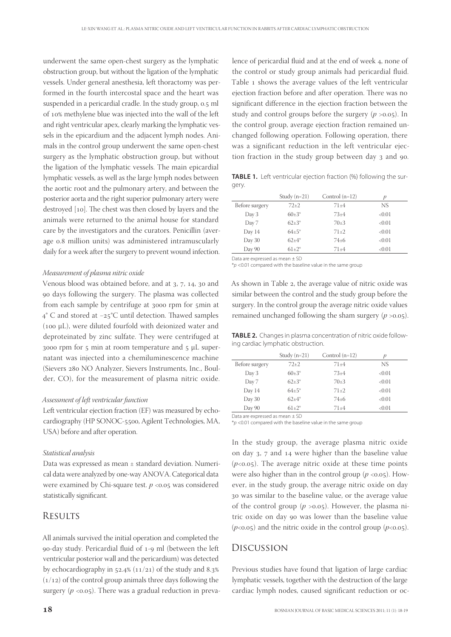underwent the same open-chest surgery as the lymphatic obstruction group, but without the ligation of the lymphatic vessels. Under general anesthesia, left thoractomy was performed in the fourth intercostal space and the heart was suspended in a pericardial cradle. In the study group, 0.5 ml of 10% methylene blue was injected into the wall of the left and right ventricular apex, clearly marking the lymphatic vessels in the epicardium and the adjacent lymph nodes. Animals in the control group underwent the same open-chest surgery as the lymphatic obstruction group, but without the ligation of the lymphatic vessels. The main epicardial lymphatic vessels, as well as the large lymph nodes between the aortic root and the pulmonary artery, and between the posterior aorta and the right superior pulmonary artery were destroyed [10]. The chest was then closed by layers and the animals were returned to the animal house for standard care by the investigators and the curators. Penicillin (average 0.8 million units) was administered intramuscularly daily for a week after the surgery to prevent wound infection.

#### *Measurement of plasma nitric oxide*

Venous blood was obtained before, and at 3, 7, 14, 30 and 90 days following the surgery. The plasma was collected from each sample by centrifuge at 3000 rpm for 5min at 4° C and stored at −25°C until detection. Thawed samples (100 μL), were diluted fourfold with deionized water and deproteinated by zinc sulfate. They were centrifuged at 3000 rpm for  $5$  min at room temperature and  $5$  μL supernatant was injected into a chemiluminescence machine (Sievers 280 NO Analyzer, Sievers Instruments, Inc., Boulder, CO), for the measurement of plasma nitric oxide.

#### *Assessment of left ventricular function*

Left ventricular ejection fraction (EF) was measured by echocardiography (HP SONOC-5500, Agilent Technologies, MA, USA) before and after operation.

#### *Statistical analysis*

Data was expressed as mean ± standard deviation. Numerical data were analyzed by one-way ANOVA. Categorical data were examined by Chi-square test.  $p \le 0.05$  was considered statistically significant.

## **RESULTS**

All animals survived the initial operation and completed the 90-day study. Pericardial fluid of 1-9 ml (between the left ventricular posterior wall and the pericardium) was detected by echocardiography in  $52.4\%$  ( $11/21$ ) of the study and 8.3%  $(1/12)$  of the control group animals three days following the surgery  $(p \langle 0.05 \rangle)$ . There was a gradual reduction in preva-

lence of pericardial fluid and at the end of week 4, none of the control or study group animals had pericardial fluid. Table 1 shows the average values of the left ventricular ejection fraction before and after operation. There was no significant difference in the ejection fraction between the study and control groups before the surgery  $(p > 0.05)$ . In the control group, average ejection fraction remained unchanged following operation. Following operation, there was a significant reduction in the left ventricular ejection fraction in the study group between day 3 and 90.

**TABLE 1.** Left ventricular ejection fraction (%) following the surgery.

|                | Study $(n=21)$ | Control $(n=12)$ | p      |
|----------------|----------------|------------------|--------|
| Before surgery | $72+2$         | $71 + 4$         | NS     |
| Day 3          | $60\pm3*$      | $73+4$           | < 0.01 |
| Day 7          | $62{\pm}3*$    | $70+3$           | < 0.01 |
| Day 14         | $64 + 5^*$     | $71+2$           | < 0.01 |
| Day 30         | $62 + 4*$      | $74 \pm 6$       | < 0.01 |
| Day 90         | $61 \pm 2^*$   | $71 + 4$         | < 0.01 |

Data are expressed as mean ± SD

 $*$ p <0.01 compared with the baseline value in the same group

As shown in Table 2, the average value of nitric oxide was similar between the control and the study group before the surgery. In the control group the average nitric oxide values remained unchanged following the sham surgery  $(p > 0.05)$ .

**TABLE 2.** Changes in plasma concentration of nitric oxide following cardiac lymphatic obstruction.

|                | Study $(n=21)$ | Control $(n=12)$ | п      |
|----------------|----------------|------------------|--------|
| Before surgery | $72+2$         | $71 + 4$         | NS     |
| Day 3          | $60+3*$        | $73+4$           | < 0.01 |
| Day 7          | $62 + 3*$      | $70+3$           | < 0.01 |
| Day 14         | $64 + 5*$      | $71 \pm 2$       | < 0.01 |
| Day 30         | $62 + 4*$      | $74 \pm 6$       | < 0.01 |
| Day 90         | $61+2*$        | $71 + 4$         | < 0.01 |

Data are expressed as mean ± SD

 $p = 2001$  compared with the baseline value in the same group

In the study group, the average plasma nitric oxide on day 3, 7 and 14 were higher than the baseline value  $(p<0.05)$ . The average nitric oxide at these time points were also higher than in the control group  $(p \lt 0.05)$ . However, in the study group, the average nitric oxide on day 30 was similar to the baseline value, or the average value of the control group  $(p > 0.05)$ . However, the plasma nitric oxide on day 90 was lower than the baseline value  $(p<0.05)$  and the nitric oxide in the control group  $(p<0.05)$ .

### Discussion

Previous studies have found that ligation of large cardiac lymphatic vessels, together with the destruction of the large cardiac lymph nodes, caused significant reduction or oc-